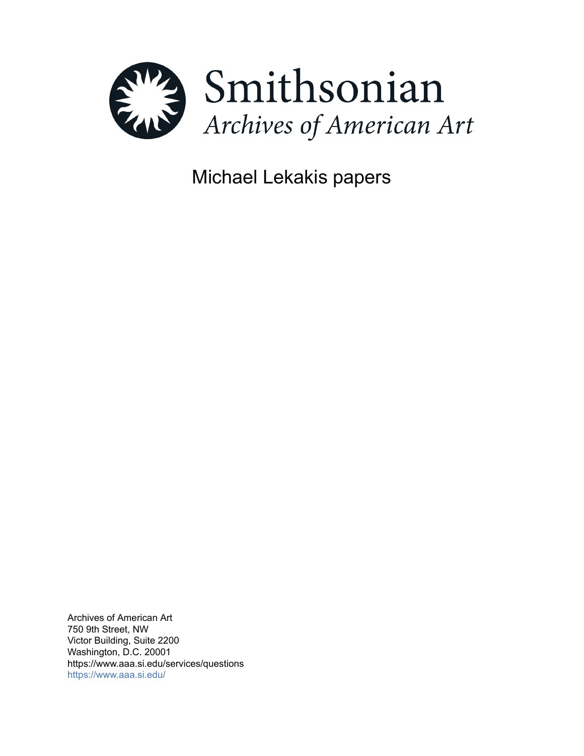

Michael Lekakis papers

Archives of American Art 750 9th Street, NW Victor Building, Suite 2200 Washington, D.C. 20001 https://www.aaa.si.edu/services/questions <https://www.aaa.si.edu/>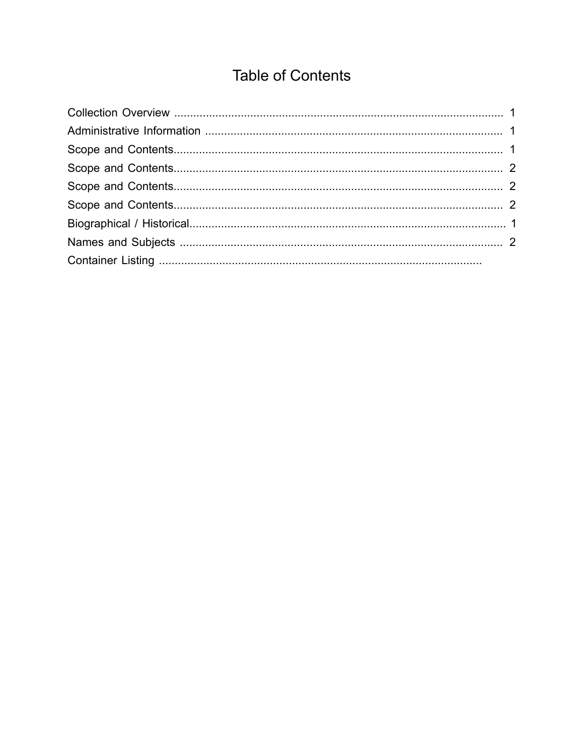# **Table of Contents**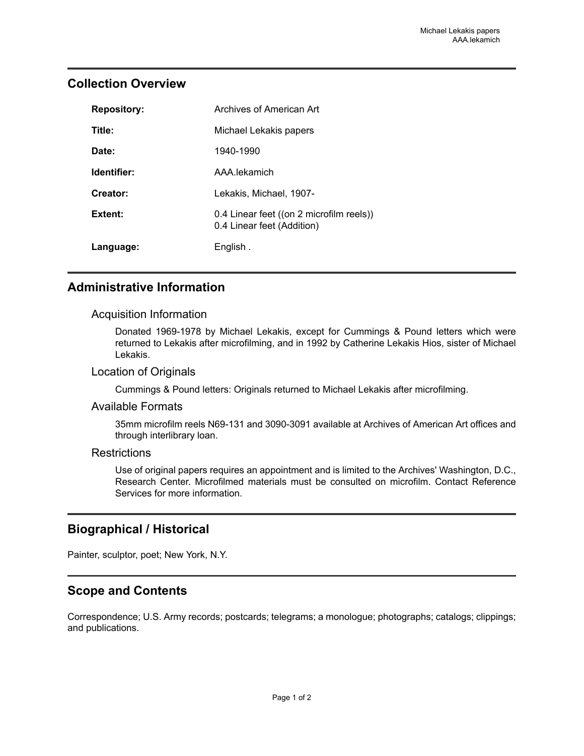#### <span id="page-2-0"></span>**Collection Overview**

| <b>Repository:</b> | Archives of American Art                                               |
|--------------------|------------------------------------------------------------------------|
| Title:             | Michael Lekakis papers                                                 |
| Date:              | 1940-1990                                                              |
| Identifier:        | AAA lekamich                                                           |
| Creator:           | Lekakis, Michael, 1907-                                                |
| Extent:            | 0.4 Linear feet ((on 2 microfilm reels))<br>0.4 Linear feet (Addition) |
| Language:          | English.                                                               |

# <span id="page-2-1"></span>**Administrative Information**

#### Acquisition Information

Donated 1969-1978 by Michael Lekakis, except for Cummings & Pound letters which were returned to Lekakis after microfilming, and in 1992 by Catherine Lekakis Hios, sister of Michael Lekakis.

#### Location of Originals

Cummings & Pound letters: Originals returned to Michael Lekakis after microfilming.

#### Available Formats

35mm microfilm reels N69-131 and 3090-3091 available at Archives of American Art offices and through interlibrary loan.

#### **Restrictions**

Use of original papers requires an appointment and is limited to the Archives' Washington, D.C., Research Center. Microfilmed materials must be consulted on microfilm. Contact Reference Services for more information.

#### <span id="page-2-3"></span>**Biographical / Historical**

Painter, sculptor, poet; New York, N.Y.

#### <span id="page-2-2"></span>**Scope and Contents**

Correspondence; U.S. Army records; postcards; telegrams; a monologue; photographs; catalogs; clippings; and publications.